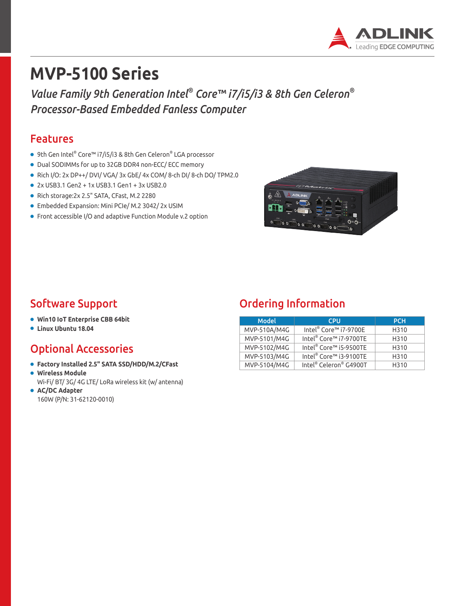

# **MVP-5100 Series**

*Value Family 9th Generation Intel® Core™ i7/i5/i3 & 8th Gen Celeron® Processor-Based Embedded Fanless Computer*

#### Features

- 9th Gen Intel® Core™ i7/i5/i3 & 8th Gen Celeron® LGA processor
- Dual SODIMMs for up to 32GB DDR4 non-ECC/ ECC memory
- Rich I/O: 2x DP++/ DVI/ VGA/ 3x GbE/ 4x COM/ 8-ch DI/ 8-ch DO/ TPM2.0
- 2x USB3.1 Gen2 + 1x USB3.1 Gen1 + 3x USB2.0
- Rich storage:2x 2.5" SATA, CFast, M.2 2280
- Embedded Expansion: Mini PCIe/ M.2 3042/ 2x USIM
- Front accessible I/O and adaptive Function Module v.2 option



- **Win10 IoT Enterprise CBB 64bit**
- **Linux Ubuntu 18.04**

### Optional Accessories

- **Factory Installed 2.5" SATA SSD/HDD/M.2/CFast**
- **Wireless Module**

Wi-Fi/ BT/ 3G/ 4G LTE/ LoRa wireless kit (w/ antenna) ● **AC/DC Adapter**

160W (P/N: 31-62120-0010)

### Software Support **Support Construction**

| <b>Model</b><br><b>CPU</b> |                                    | <b>PCH</b> |
|----------------------------|------------------------------------|------------|
| MVP-510A/M4G               | Intel <sup>®</sup> Core™ i7-9700E  | H310       |
| MVP-5101/M4G               | Intel® Core™ i7-9700TE             | H310       |
| MVP-5102/M4G               | Intel <sup>®</sup> Core™ i5-9500TE | H310       |
| MVP-5103/M4G               | Intel® Core™ i3-9100TE             | H310       |
| MVP-5104/M4G               | Intel® Celeron® G4900T             | H310       |